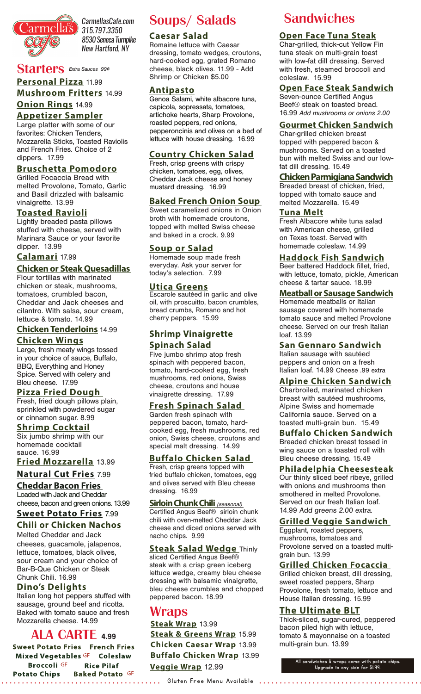

*CarmellasCafe.com 315.797.3350 8530 Seneca Turnpike New Hartford, NY*

## **Starters** Extra Sauces 99¢

## **Mushroom Fritters** 14.99 **Personal Pizza** 11.99

## **Onion Rings** 14.99

**Appetizer Sampler** Large platter with some of our favorites: Chicken Tenders, Mozzarella Sticks, Toasted Raviolis and French Fries. Choice of 2 dippers. 17.99

#### **Bruschetta Pomodoro**

Grilled Focaccia Bread with melted Provolone, Tomato, Garlic and Basil drizzled with balsamic vinaigrette. 13.99

## **Toasted Ravioli**

Lightly breaded pasta pillows stuffed with cheese, served with Marinara Sauce or your favorite dipper. 13.99

#### **Calamari** 17.99

## **Chicken or Steak Quesadillas**

Flour tortillas with marinated chicken or steak, mushrooms, tomatoes, crumbled bacon, Cheddar and Jack cheeses and cilantro. With salsa, sour cream, lettuce & tomato. 14.99

## **Chicken Tenderloins** 14.99

## **Chicken Wings**

Large, fresh meaty wings tossed in your choice of sauce, Buffalo, BBQ, Everything and Honey Spice. Served with celery and Bleu cheese. 17.99

#### **Pizza Fried Dough**

Fresh, fried dough pillows plain, sprinkled with powdered sugar or cinnamon sugar. 8.99

#### **Shrimp Cocktail**

Six jumbo shrimp with our homemade cocktail sauce. 16.99

**Fried Mozzarella** 13.99

## **Natural Cut Fries** 7.99

**Cheddar Bacon Fries**  Loaded with Jack and Cheddar cheese, bacon and green onions. 13.99

## **Sweet Potato Fries** 7.99

## **Chili or Chicken Nachos**

Melted Cheddar and Jack cheeses, guacamole, jalapenos, lettuce, tomatoes, black olives, sour cream and your choice of Bar-B-Que Chicken or Steak Chunk Chili. 16.99

## **Dino's Delights**

Italian long hot peppers stuffed with sausage, ground beef and ricotta. Baked with tomato sauce and fresh Mozzarella cheese. 14.99

## **ALA CARTE 4.99**

**Sweet Potato Fries French Fries** Mixed Vegetables GF Coleslaw **Broccoli** GF **Rice Pilaf Potato Chips Baked Potato GF** Gluten Free Menu Available

# Soups/Salads

## **Caesar Salad**

Romaine lettuce with Caesar dressing, tomato wedges, croutons, hard-cooked egg, grated Romano cheese, black olives. 11.99 - Add Shrimp or Chicken \$5.00

#### **Antipasto**

Genoa Salami, white albacore tuna, capicola, sopressata, tomatoes, artichoke hearts, Sharp Provolone, roasted peppers, red onions, pepperoncinis and olives on a bed of lettuce with house dressing. 16.99

## **Country Chicken Salad**

Fresh, crisp greens with crispy chicken, tomatoes, egg, olives, Cheddar Jack cheese and honey mustard dressing. 16.99

## **Baked French Onion Soup**

Sweet caramelized onions in Onion broth with homemade croutons, topped with melted Swiss cheese and baked in a crock. 9.99

#### **Soup or Salad**

Homemade soup made fresh everyday. Ask your server for today's selection. 7.99

#### **Utica Greens**

**Escarole sautéed in garlic and olive** oil, with proscuitto, bacon crumbles, bread crumbs, Romano and hot cherry peppers. 15.99

## **Shrimp Vinaigrette Spinach Salad**

Five jumbo shrimp atop fresh spinach with peppered bacon, tomato, hard-cooked egg, fresh mushrooms, red onions, Swiss cheese, croutons and house vinaigrette dressing. 17.99

## **Fresh Spinach Salad**

Garden fresh spinach with peppered bacon, tomato, hardcooked egg, fresh mushrooms, red onion, Swiss cheese, croutons and special malt dressing. 14.99

#### **Buffalo Chicken Salad**

Fresh, crisp greens topped with fried buffalo chicken, tomatoes, egg and olives served with Bleu cheese dressing. 16.99

**Sirloin Chunk Chili** (seasonal) Certified Angus Beef® sirloin chunk chili with oven-melted Cheddar Jack cheese and diced onions served with nacho chips. 9.99

## **Steak Salad Wedge** Thinly

sliced Certified Angus Beef® steak with a crisp green iceberg lettuce wedge, creamy bleu cheese dressing with balsamic vinaigrette, bleu cheese crumbles and chopped peppered bacon. 18.99

## Wraps

**Steak Wrap** 13.99 **Chicken Caesar Wrap** 13.99 **Steak & Greens Wrap** 15.99 **Buffalo Chicken Wrap** 13.99 **Veggie Wrap** 12.99

# **Sandwiches**

## **Open Face Tuna Steak**

Char-grilled, thick-cut Yellow Fin tuna steak on multi-grain toast with low-fat dill dressing. Served with fresh, steamed broccoli and coleslaw. 15.99

## **Open Face Steak Sandwich**

Seven-ounce Certified Angus Beef® steak on toasted bread. 16.99 *Add mushrooms or onions 2.00*

## **Gourmet Chicken Sandwich**

Char-grilled chicken breast topped with peppered bacon & mushrooms. Served on a toasted bun with melted Swiss and our lowfat dill dressing. 15.49

#### **Chicken Parmigiana Sandwich**

Breaded breast of chicken, fried, topped with tomato sauce and melted Mozzarella. 15.49

#### **Tuna Melt**

Fresh Albacore white tuna salad with American cheese, grilled on Texas toast. Served with homemade coleslaw. 14.99

## **Haddock Fish Sandwich**

Beer battered Haddock fillet, fried, with lettuce, tomato, pickle, American cheese & tartar sauce. 18.99

#### **Meatball or Sausage Sandwich**

Homemade meatballs or Italian sausage covered with homemade tomato sauce and melted Provolone cheese. Served on our fresh Italian loaf. 13.99

## **San Gennaro Sandwich**

Italian sausage with sautéed peppers and onion on a fresh Italian loaf. 14.99 Cheese .99 extra

## **Alpine Chicken Sandwich**

Charbroiled, marinated chicken breast with sautéed mushrooms, Alpine Swiss and homemade California sauce. Served on a toasted multi-grain bun. 15.49

## **Buffalo Chicken Sandwich**

Breaded chicken breast tossed in wing sauce on a toasted roll with Bleu cheese dressing. 15.49

## **Philadelphia Cheesesteak**

Our thinly sliced beef ribeye, grilled with onions and mushrooms then smothered in melted Provolone. Served on our fresh Italian loaf. 14.99 Add greens 2.00 extra.

## **Grilled Veggie Sandwich**

Eggplant, roasted peppers, mushrooms, tomatoes and Provolone served on a toasted multigrain bun. 13.99

## **Grilled Chicken Focaccia**

Grilled chicken breast, dill dressing, sweet roasted peppers, Sharp Provolone, fresh tomato, lettuce and House Italian dressing. 15.99

## **The Ultimate BLT**

Thick-sliced, sugar-cured, peppered bacon piled high with lettuce, tomato & mayonnaise on a toasted multi-grain bun. 13.99

> All sandwiches & wraps come with potato chips. Upgrade to any side for \$1.99.